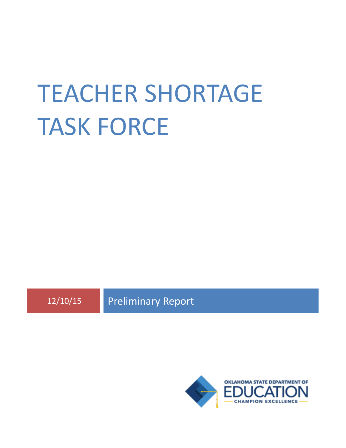# TEACHER SHORTAGE TASK FORCE

12/10/15 Preliminary Report

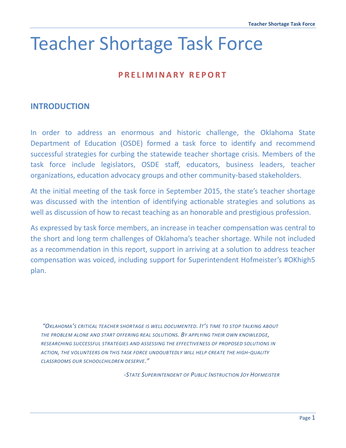# Teacher Shortage Task Force

# **P R E L I M I N A R Y R E P O R T**

# **INTRODUCTION**

In order to address an enormous and historic challenge, the Oklahoma State Department of Education (OSDE) formed a task force to identify and recommend successful strategies for curbing the statewide teacher shortage crisis. Members of the task force include legislators, OSDE staff, educators, business leaders, teacher organizations, education advocacy groups and other community-based stakeholders.

At the initial meeting of the task force in September 2015, the state's teacher shortage was discussed with the intention of identifying actionable strategies and solutions as well as discussion of how to recast teaching as an honorable and prestigious profession.

As expressed by task force members, an increase in teacher compensation was central to the short and long term challenges of Oklahoma's teacher shortage. While not included as a recommendation in this report, support in arriving at a solution to address teacher compensation was voiced, including support for Superintendent Hofmeister's #OKhigh5 plan.

*"OKLAHOMA'S CRITICAL TEACHER SHORTAGE IS WELL DOCUMENTED. IT'S TIME TO STOP TALKING ABOUT THE PROBLEM ALONE AND START OFFERING REAL SOLUTIONS. BY APPLYING THEIR OWN KNOWLEDGE, RESEARCHING SUCCESSFUL STRATEGIES AND ASSESSING THE EFFECTIVENESS OF PROPOSED SOLUTIONS IN ACTION, THE VOLUNTEERS ON THIS TASK FORCE UNDOUBTEDLY WILL HELP CREATE THE HIGH-QUALITY CLASSROOMS OUR SCHOOLCHILDREN DESERVE."*

*-STATE SUPERINTENDENT OF PUBLIC INSTRUCTION JOY HOFMEISTER*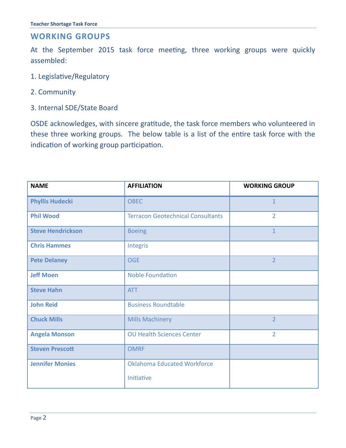# **WORKING GROUPS**

At the September 2015 task force meeting, three working groups were quickly assembled:

- 1. Legislative/Regulatory
- 2. Community
- 3. Internal SDE/State Board

OSDE acknowledges, with sincere gratitude, the task force members who volunteered in these three working groups. The below table is a list of the entire task force with the indication of working group participation.

| <b>NAME</b>              | <b>AFFILIATION</b>                       | <b>WORKING GROUP</b> |
|--------------------------|------------------------------------------|----------------------|
| <b>Phyllis Hudecki</b>   | <b>OBEC</b>                              | $\mathbf{1}$         |
| <b>Phil Wood</b>         | <b>Terracon Geotechnical Consultants</b> | $\overline{2}$       |
| <b>Steve Hendrickson</b> | <b>Boeing</b>                            | $\overline{1}$       |
| <b>Chris Hammes</b>      | Integris                                 |                      |
| <b>Pete Delaney</b>      | <b>OGE</b>                               | $\overline{2}$       |
| <b>Jeff Moen</b>         | <b>Noble Foundation</b>                  |                      |
| <b>Steve Hahn</b>        | <b>ATT</b>                               |                      |
| <b>John Reid</b>         | <b>Business Roundtable</b>               |                      |
| <b>Chuck Mills</b>       | <b>Mills Machinery</b>                   | $\overline{2}$       |
| <b>Angela Monson</b>     | <b>OU Health Sciences Center</b>         | $\overline{2}$       |
| <b>Steven Prescott</b>   | <b>OMRF</b>                              |                      |
| <b>Jennifer Monies</b>   | <b>Oklahoma Educated Workforce</b>       |                      |
|                          | Initiative                               |                      |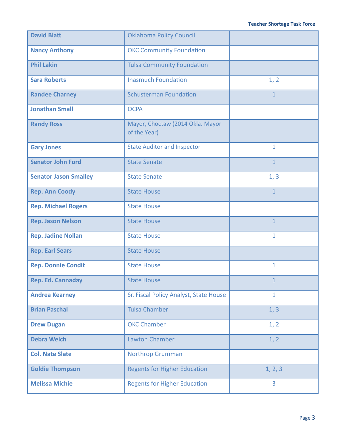| <b>David Blatt</b>           | <b>Oklahoma Policy Council</b>                   |                |
|------------------------------|--------------------------------------------------|----------------|
| <b>Nancy Anthony</b>         | <b>OKC Community Foundation</b>                  |                |
| <b>Phil Lakin</b>            | <b>Tulsa Community Foundation</b>                |                |
| <b>Sara Roberts</b>          | <b>Inasmuch Foundation</b>                       | 1, 2           |
| <b>Randee Charney</b>        | <b>Schusterman Foundation</b>                    | $\mathbf{1}$   |
| <b>Jonathan Small</b>        | <b>OCPA</b>                                      |                |
| <b>Randy Ross</b>            | Mayor, Choctaw (2014 Okla. Mayor<br>of the Year) |                |
| <b>Gary Jones</b>            | <b>State Auditor and Inspector</b>               | $\mathbf{1}$   |
| <b>Senator John Ford</b>     | <b>State Senate</b>                              | $\mathbf{1}$   |
| <b>Senator Jason Smalley</b> | <b>State Senate</b>                              | 1, 3           |
| <b>Rep. Ann Coody</b>        | <b>State House</b>                               | $\overline{1}$ |
| <b>Rep. Michael Rogers</b>   | <b>State House</b>                               |                |
| <b>Rep. Jason Nelson</b>     | <b>State House</b>                               | $\mathbf{1}$   |
| <b>Rep. Jadine Nollan</b>    | <b>State House</b>                               | 1              |
| <b>Rep. Earl Sears</b>       | <b>State House</b>                               |                |
| <b>Rep. Donnie Condit</b>    | <b>State House</b>                               | $\mathbf{1}$   |
| <b>Rep. Ed. Cannaday</b>     | <b>State House</b>                               | $\mathbf{1}$   |
| <b>Andrea Kearney</b>        | Sr. Fiscal Policy Analyst, State House           | $\mathbf{1}$   |
| <b>Brian Paschal</b>         | <b>Tulsa Chamber</b>                             | 1, 3           |
| <b>Drew Dugan</b>            | <b>OKC Chamber</b>                               | 1, 2           |
| <b>Debra Welch</b>           | <b>Lawton Chamber</b>                            | 1, 2           |
| <b>Col. Nate Slate</b>       | <b>Northrop Grumman</b>                          |                |
| <b>Goldie Thompson</b>       | <b>Regents for Higher Education</b>              | 1, 2, 3        |
| <b>Melissa Michie</b>        | <b>Regents for Higher Education</b>              | 3              |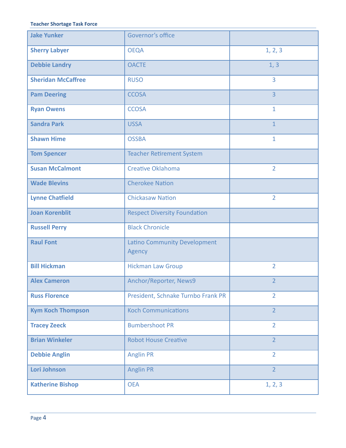#### **Teacher Shortage Task Force**

| <b>Jake Yunker</b>        | Governor's office                             |                |
|---------------------------|-----------------------------------------------|----------------|
| <b>Sherry Labyer</b>      | <b>OEQA</b>                                   | 1, 2, 3        |
| <b>Debbie Landry</b>      | <b>OACTE</b>                                  | 1, 3           |
| <b>Sheridan McCaffree</b> | <b>RUSO</b>                                   | $\overline{3}$ |
| <b>Pam Deering</b>        | <b>CCOSA</b>                                  | $\overline{3}$ |
| <b>Ryan Owens</b>         | <b>CCOSA</b>                                  | $\mathbf{1}$   |
| <b>Sandra Park</b>        | <b>USSA</b>                                   | $\overline{1}$ |
| <b>Shawn Hime</b>         | <b>OSSBA</b>                                  | $\mathbf{1}$   |
| <b>Tom Spencer</b>        | <b>Teacher Retirement System</b>              |                |
| <b>Susan McCalmont</b>    | <b>Creative Oklahoma</b>                      | $\overline{2}$ |
| <b>Wade Blevins</b>       | <b>Cherokee Nation</b>                        |                |
| <b>Lynne Chatfield</b>    | <b>Chickasaw Nation</b>                       | $\overline{2}$ |
| <b>Joan Korenblit</b>     | <b>Respect Diversity Foundation</b>           |                |
| <b>Russell Perry</b>      | <b>Black Chronicle</b>                        |                |
| <b>Raul Font</b>          | <b>Latino Community Development</b><br>Agency |                |
| <b>Bill Hickman</b>       | <b>Hickman Law Group</b>                      | $\overline{2}$ |
| <b>Alex Cameron</b>       | Anchor/Reporter, News9                        | $\overline{2}$ |
| <b>Russ Florence</b>      | President, Schnake Turnbo Frank PR            | $\overline{2}$ |
| <b>Kym Koch Thompson</b>  | <b>Koch Communications</b>                    | $\overline{2}$ |
| <b>Tracey Zeeck</b>       | <b>Bumbershoot PR</b>                         | $\overline{2}$ |
| <b>Brian Winkeler</b>     | <b>Robot House Creative</b>                   | $\overline{2}$ |
| <b>Debbie Anglin</b>      | <b>Anglin PR</b>                              | $\overline{2}$ |
| Lori Johnson              | <b>Anglin PR</b>                              | $\overline{2}$ |
| <b>Katherine Bishop</b>   | <b>OEA</b>                                    | 1, 2, 3        |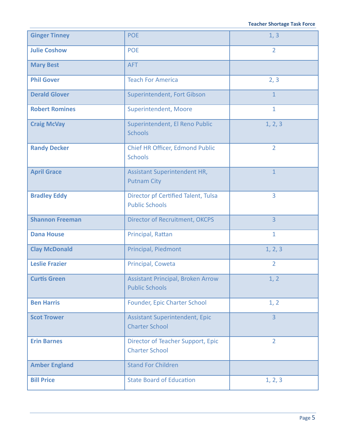| <b>Ginger Tinney</b>   | <b>POE</b>                                                        | 1, 3           |
|------------------------|-------------------------------------------------------------------|----------------|
| <b>Julie Coshow</b>    | <b>POE</b>                                                        | $\overline{2}$ |
| <b>Mary Best</b>       | <b>AFT</b>                                                        |                |
| <b>Phil Gover</b>      | <b>Teach For America</b>                                          | 2, 3           |
| <b>Derald Glover</b>   | Superintendent, Fort Gibson                                       | $\mathbf{1}$   |
| <b>Robert Romines</b>  | Superintendent, Moore                                             | $\mathbf{1}$   |
| <b>Craig McVay</b>     | Superintendent, El Reno Public<br><b>Schools</b>                  | 1, 2, 3        |
| <b>Randy Decker</b>    | Chief HR Officer, Edmond Public<br><b>Schools</b>                 | $\overline{2}$ |
| <b>April Grace</b>     | <b>Assistant Superintendent HR,</b><br><b>Putnam City</b>         | $\overline{1}$ |
| <b>Bradley Eddy</b>    | Director pf Certified Talent, Tulsa<br><b>Public Schools</b>      | $\overline{3}$ |
| <b>Shannon Freeman</b> | <b>Director of Recruitment, OKCPS</b>                             | $\overline{3}$ |
| <b>Dana House</b>      | Principal, Rattan                                                 | $\mathbf{1}$   |
| <b>Clay McDonald</b>   | Principal, Piedmont                                               | 1, 2, 3        |
| <b>Leslie Frazier</b>  | Principal, Coweta                                                 | $\overline{2}$ |
| <b>Curtis Green</b>    | <b>Assistant Principal, Broken Arrow</b><br><b>Public Schools</b> | 1, 2           |
| <b>Ben Harris</b>      | Founder, Epic Charter School                                      | 1, 2           |
| <b>Scot Trower</b>     | <b>Assistant Superintendent, Epic</b><br><b>Charter School</b>    | $\overline{3}$ |
| <b>Erin Barnes</b>     | Director of Teacher Support, Epic<br><b>Charter School</b>        | $\overline{2}$ |
| <b>Amber England</b>   | <b>Stand For Children</b>                                         |                |
| <b>Bill Price</b>      | <b>State Board of Education</b>                                   | 1, 2, 3        |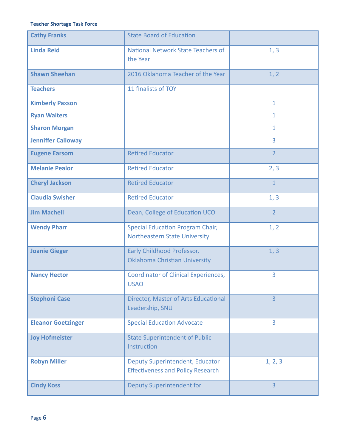#### **Teacher Shortage Task Force**

| <b>Cathy Franks</b>       | <b>State Board of Education</b>                                                    |                |
|---------------------------|------------------------------------------------------------------------------------|----------------|
| <b>Linda Reid</b>         | National Network State Teachers of<br>the Year                                     | 1, 3           |
| <b>Shawn Sheehan</b>      | 2016 Oklahoma Teacher of the Year                                                  | 1, 2           |
| <b>Teachers</b>           | 11 finalists of TOY                                                                |                |
| <b>Kimberly Paxson</b>    |                                                                                    | $\mathbf{1}$   |
| <b>Ryan Walters</b>       |                                                                                    | $\mathbf{1}$   |
| <b>Sharon Morgan</b>      |                                                                                    | $\mathbf{1}$   |
| <b>Jenniffer Calloway</b> |                                                                                    | 3              |
| <b>Eugene Earsom</b>      | <b>Retired Educator</b>                                                            | $\overline{2}$ |
| <b>Melanie Pealor</b>     | <b>Retired Educator</b>                                                            | 2, 3           |
| <b>Cheryl Jackson</b>     | <b>Retired Educator</b>                                                            | $\mathbf{1}$   |
| <b>Claudia Swisher</b>    | <b>Retired Educator</b>                                                            | 1, 3           |
| <b>Jim Machell</b>        | Dean, College of Education UCO                                                     | $\overline{2}$ |
| <b>Wendy Pharr</b>        | <b>Special Education Program Chair,</b><br><b>Northeastern State University</b>    | 1, 2           |
| <b>Joanie Gieger</b>      | Early Childhood Professor,<br>Oklahoma Christian University                        | 1, 3           |
| <b>Nancy Hector</b>       | <b>Coordinator of Clinical Experiences,</b><br><b>USAO</b>                         | 3              |
| <b>Stephoni Case</b>      | Director, Master of Arts Educational<br>Leadership, SNU                            | $\overline{3}$ |
| <b>Eleanor Goetzinger</b> | <b>Special Education Advocate</b>                                                  | 3              |
| <b>Joy Hofmeister</b>     | <b>State Superintendent of Public</b><br>Instruction                               |                |
| <b>Robyn Miller</b>       | <b>Deputy Superintendent, Educator</b><br><b>Effectiveness and Policy Research</b> | 1, 2, 3        |
| <b>Cindy Koss</b>         | <b>Deputy Superintendent for</b>                                                   | $\overline{3}$ |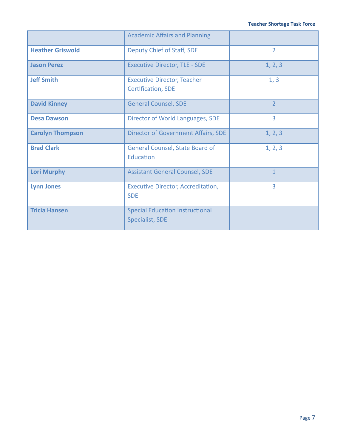|                         | <b>Academic Affairs and Planning</b>                      |                |
|-------------------------|-----------------------------------------------------------|----------------|
| <b>Heather Griswold</b> | Deputy Chief of Staff, SDE                                | $\overline{2}$ |
| <b>Jason Perez</b>      | <b>Executive Director, TLE - SDE</b>                      | 1, 2, 3        |
| <b>Jeff Smith</b>       | <b>Executive Director, Teacher</b><br>Certification, SDE  | 1, 3           |
| <b>David Kinney</b>     | <b>General Counsel, SDE</b>                               | $\overline{2}$ |
| <b>Desa Dawson</b>      | Director of World Languages, SDE                          | 3              |
| <b>Carolyn Thompson</b> | <b>Director of Government Affairs, SDE</b>                | 1, 2, 3        |
| <b>Brad Clark</b>       | <b>General Counsel, State Board of</b><br>Education       | 1, 2, 3        |
| <b>Lori Murphy</b>      | <b>Assistant General Counsel, SDE</b>                     | $\mathbf{1}$   |
| <b>Lynn Jones</b>       | Executive Director, Accreditation,<br><b>SDE</b>          | 3              |
| <b>Tricia Hansen</b>    | <b>Special Education Instructional</b><br>Specialist, SDE |                |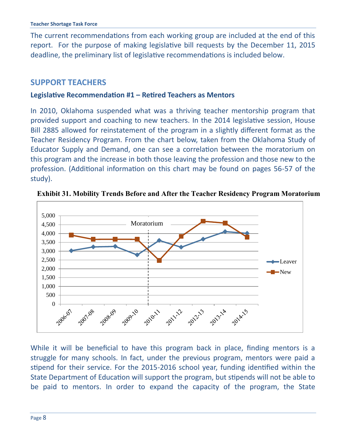The current recommendations from each working group are included at the end of this report. For the purpose of making legislative bill requests by the December 11, 2015 deadline, the preliminary list of legislative recommendations is included below.

# **SUPPORT TEACHERS**

#### **Legislative Recommendation #1 – Retired Teachers as Mentors**

In 2010, Oklahoma suspended what was a thriving teacher mentorship program that provided support and coaching to new teachers. In the 2014 legislative session, House Bill 2885 allowed for reinstatement of the program in a slightly different format as the Teacher Residency Program. From the chart below, taken from the Oklahoma Study of Educator Supply and Demand, one can see a correlation between the moratorium on this program and the increase in both those leaving the profession and those new to the profession. (Additional information on this chart may be found on pages 56-57 of the study).



**Exhibit 31. Mobility Trends Before and After the Teacher Residency Program Moratorium**

While it will be beneficial to have this program back in place, finding mentors is a struggle for many schools. In fact, under the previous program, mentors were paid a stipend for their service. For the 2015-2016 school year, funding identified within the State Department of Education will support the program, but stipends will not be able to be paid to mentors. In order to expand the capacity of the program, the State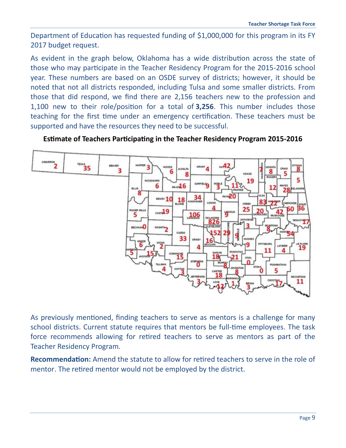Department of Education has requested funding of \$1,000,000 for this program in its FY 2017 budget request.

As evident in the graph below, Oklahoma has a wide distribution across the state of those who may participate in the Teacher Residency Program for the 2015-2016 school year. These numbers are based on an OSDE survey of districts; however, it should be noted that not all districts responded, including Tulsa and some smaller districts. From those that did respond, we find there are 2,156 teachers new to the profession and 1,100 new to their role/position for a total of **3,256**. This number includes those teaching for the first time under an emergency certification. These teachers must be supported and have the resources they need to be successful.





As previously mentioned, finding teachers to serve as mentors is a challenge for many school districts. Current statute requires that mentors be full-time employees. The task force recommends allowing for retired teachers to serve as mentors as part of the Teacher Residency Program.

**Recommendation:** Amend the statute to allow for retired teachers to serve in the role of mentor. The retired mentor would not be employed by the district.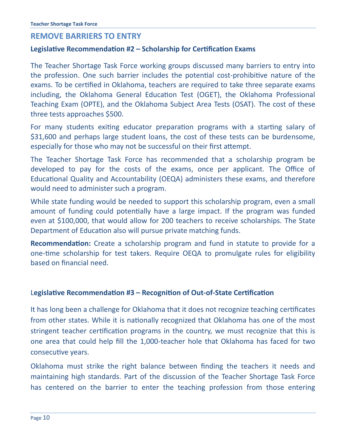# **REMOVE BARRIERS TO ENTRY**

#### **Legislative Recommendation #2 – Scholarship for Certification Exams**

The Teacher Shortage Task Force working groups discussed many barriers to entry into the profession. One such barrier includes the potential cost-prohibitive nature of the exams. To be certified in Oklahoma, teachers are required to take three separate exams including, the Oklahoma General Education Test (OGET), the Oklahoma Professional Teaching Exam (OPTE), and the Oklahoma Subject Area Tests (OSAT). The cost of these three tests approaches \$500.

For many students exiting educator preparation programs with a starting salary of \$31,600 and perhaps large student loans, the cost of these tests can be burdensome, especially for those who may not be successful on their first attempt.

The Teacher Shortage Task Force has recommended that a scholarship program be developed to pay for the costs of the exams, once per applicant. The Office of Educational Quality and Accountability (OEQA) administers these exams, and therefore would need to administer such a program.

While state funding would be needed to support this scholarship program, even a small amount of funding could potentially have a large impact. If the program was funded even at \$100,000, that would allow for 200 teachers to receive scholarships. The State Department of Education also will pursue private matching funds.

**Recommendation:** Create a scholarship program and fund in statute to provide for a one-time scholarship for test takers. Require OEQA to promulgate rules for eligibility based on financial need.

#### L**egislative Recommendation #3 – Recognition of Out-of-State Certification**

It has long been a challenge for Oklahoma that it does not recognize teaching certificates from other states. While it is nationally recognized that Oklahoma has one of the most stringent teacher certification programs in the country, we must recognize that this is one area that could help fill the 1,000-teacher hole that Oklahoma has faced for two consecutive years.

Oklahoma must strike the right balance between finding the teachers it needs and maintaining high standards. Part of the discussion of the Teacher Shortage Task Force has centered on the barrier to enter the teaching profession from those entering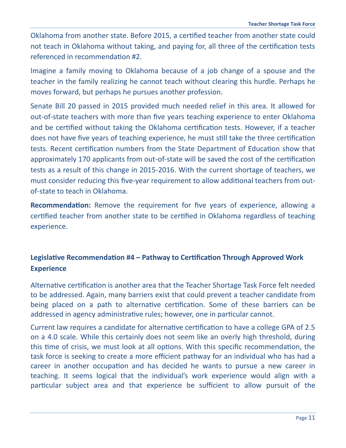Oklahoma from another state. Before 2015, a certified teacher from another state could not teach in Oklahoma without taking, and paying for, all three of the certification tests referenced in recommendation #2.

Imagine a family moving to Oklahoma because of a job change of a spouse and the teacher in the family realizing he cannot teach without clearing this hurdle. Perhaps he moves forward, but perhaps he pursues another profession.

Senate Bill 20 passed in 2015 provided much needed relief in this area. It allowed for out-of-state teachers with more than five years teaching experience to enter Oklahoma and be certified without taking the Oklahoma certification tests. However, if a teacher does not have five years of teaching experience, he must still take the three certification tests. Recent certification numbers from the State Department of Education show that approximately 170 applicants from out-of-state will be saved the cost of the certification tests as a result of this change in 2015-2016. With the current shortage of teachers, we must consider reducing this five-year requirement to allow additional teachers from outof-state to teach in Oklahoma.

**Recommendation:** Remove the requirement for five years of experience, allowing a certified teacher from another state to be certified in Oklahoma regardless of teaching experience.

# **Legislative Recommendation #4 – Pathway to Certification Through Approved Work Experience**

Alternative certification is another area that the Teacher Shortage Task Force felt needed to be addressed. Again, many barriers exist that could prevent a teacher candidate from being placed on a path to alternative certification. Some of these barriers can be addressed in agency administrative rules; however, one in particular cannot.

Current law requires a candidate for alternative certification to have a college GPA of 2.5 on a 4.0 scale. While this certainly does not seem like an overly high threshold, during this time of crisis, we must look at all options. With this specific recommendation, the task force is seeking to create a more efficient pathway for an individual who has had a career in another occupation and has decided he wants to pursue a new career in teaching. It seems logical that the individual's work experience would align with a particular subject area and that experience be sufficient to allow pursuit of the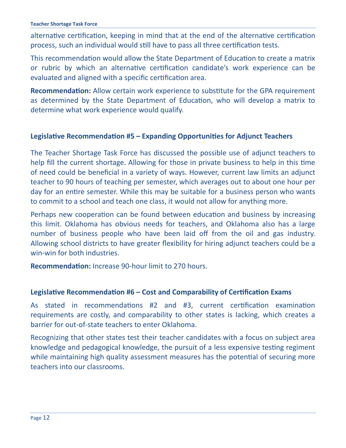alternative certification, keeping in mind that at the end of the alternative certification process, such an individual would still have to pass all three certification tests.

This recommendation would allow the State Department of Education to create a matrix or rubric by which an alternative certification candidate's work experience can be evaluated and aligned with a specific certification area.

**Recommendation:** Allow certain work experience to substitute for the GPA requirement as determined by the State Department of Education, who will develop a matrix to determine what work experience would qualify.

## **Legislative Recommendation #5 – Expanding Opportunities for Adjunct Teachers**

The Teacher Shortage Task Force has discussed the possible use of adjunct teachers to help fill the current shortage. Allowing for those in private business to help in this time of need could be beneficial in a variety of ways. However, current law limits an adjunct teacher to 90 hours of teaching per semester, which averages out to about one hour per day for an entire semester. While this may be suitable for a business person who wants to commit to a school and teach one class, it would not allow for anything more.

Perhaps new cooperation can be found between education and business by increasing this limit. Oklahoma has obvious needs for teachers, and Oklahoma also has a large number of business people who have been laid off from the oil and gas industry. Allowing school districts to have greater flexibility for hiring adjunct teachers could be a win-win for both industries.

**Recommendation:** Increase 90-hour limit to 270 hours.

#### **Legislative Recommendation #6 – Cost and Comparability of Certification Exams**

As stated in recommendations #2 and #3, current certification examination requirements are costly, and comparability to other states is lacking, which creates a barrier for out-of-state teachers to enter Oklahoma.

Recognizing that other states test their teacher candidates with a focus on subject area knowledge and pedagogical knowledge, the pursuit of a less expensive testing regiment while maintaining high quality assessment measures has the potential of securing more teachers into our classrooms.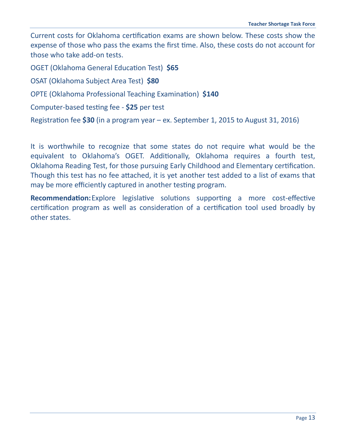Current costs for Oklahoma certification exams are shown below. These costs show the expense of those who pass the exams the first time. Also, these costs do not account for those who take add-on tests.

OGET (Oklahoma General Education Test) **\$65**

OSAT (Oklahoma Subject Area Test) **\$80**

OPTE (Oklahoma Professional Teaching Examination) **\$140**

Computer-based testing fee - **\$25** per test

Registration fee **\$30** (in a program year – ex. September 1, 2015 to August 31, 2016)

It is worthwhile to recognize that some states do not require what would be the equivalent to Oklahoma's OGET. Additionally, Oklahoma requires a fourth test, Oklahoma Reading Test, for those pursuing Early Childhood and Elementary certification. Though this test has no fee attached, it is yet another test added to a list of exams that may be more efficiently captured in another testing program.

**Recommendation:**Explore legislative solutions supporting a more cost-effective certification program as well as consideration of a certification tool used broadly by other states.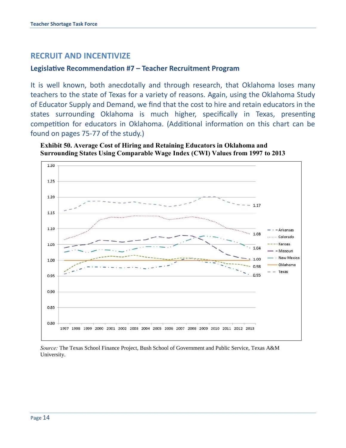# **RECRUIT AND INCENTIVIZE**

#### **Legislative Recommendation #7 – Teacher Recruitment Program**

It is well known, both anecdotally and through research, that Oklahoma loses many teachers to the state of Texas for a variety of reasons. Again, using the Oklahoma Study of Educator Supply and Demand, we find that the cost to hire and retain educators in the states surrounding Oklahoma is much higher, specifically in Texas, presenting competition for educators in Oklahoma. (Additional information on this chart can be found on pages 75-77 of the study.) Than in Andrew more costs suggest that the cost of educational staff in Arkansas has almost always been lower than in s well known, both anecdotally and through research, that Oklahoma loses r the surfounding extational is much inglicity specifically in texas, present  $n$ petition for equicators in Okianoma. (Additional information on this chart  $\alpha$ 





*Source:* The Texas School Finance Project, Bush School of Government and Public Service, Texas A&M University.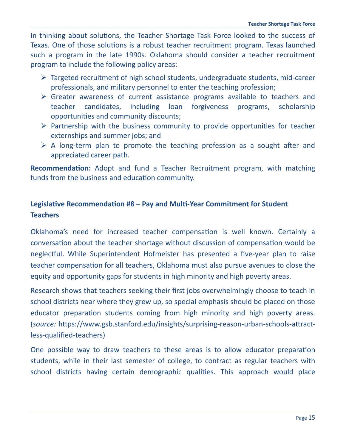In thinking about solutions, the Teacher Shortage Task Force looked to the success of Texas. One of those solutions is a robust teacher recruitment program. Texas launched such a program in the late 1990s. Oklahoma should consider a teacher recruitment program to include the following policy areas:

- $\triangleright$  Targeted recruitment of high school students, undergraduate students, mid-career professionals, and military personnel to enter the teaching profession;
- Greater awareness of current assistance programs available to teachers and teacher candidates, including loan forgiveness programs, scholarship opportunities and community discounts;
- $\triangleright$  Partnership with the business community to provide opportunities for teacher externships and summer jobs; and
- $\triangleright$  A long-term plan to promote the teaching profession as a sought after and appreciated career path.

**Recommendation:** Adopt and fund a Teacher Recruitment program, with matching funds from the business and education community.

# **Legislative Recommendation #8 – Pay and Multi-Year Commitment for Student Teachers**

Oklahoma's need for increased teacher compensation is well known. Certainly a conversation about the teacher shortage without discussion of compensation would be neglectful. While Superintendent Hofmeister has presented a five-year plan to raise teacher compensation for all teachers, Oklahoma must also pursue avenues to close the equity and opportunity gaps for students in high minority and high poverty areas.

Research shows that teachers seeking their first jobs overwhelmingly choose to teach in school districts near where they grew up, so special emphasis should be placed on those educator preparation students coming from high minority and high poverty areas. (*source:* https://www.gsb.stanford.edu/insights/surprising-reason-urban-schools-attractless-qualified-teachers)

One possible way to draw teachers to these areas is to allow educator preparation students, while in their last semester of college, to contract as regular teachers with school districts having certain demographic qualities. This approach would place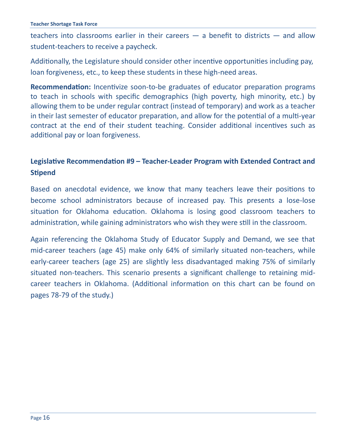teachers into classrooms earlier in their careers — a benefit to districts — and allow student-teachers to receive a paycheck.

Additionally, the Legislature should consider other incentive opportunities including pay, loan forgiveness, etc., to keep these students in these high-need areas.

**Recommendation:** Incentivize soon-to-be graduates of educator preparation programs to teach in schools with specific demographics (high poverty, high minority, etc.) by allowing them to be under regular contract (instead of temporary) and work as a teacher in their last semester of educator preparation, and allow for the potential of a multi-year contract at the end of their student teaching. Consider additional incentives such as additional pay or loan forgiveness.

# **Legislative Recommendation #9 – Teacher-Leader Program with Extended Contract and Stipend**

Based on anecdotal evidence, we know that many teachers leave their positions to become school administrators because of increased pay. This presents a lose-lose situation for Oklahoma education. Oklahoma is losing good classroom teachers to administration, while gaining administrators who wish they were still in the classroom.

Again referencing the Oklahoma Study of Educator Supply and Demand, we see that mid-career teachers (age 45) make only 64% of similarly situated non-teachers, while early-career teachers (age 25) are slightly less disadvantaged making 75% of similarly situated non-teachers. This scenario presents a significant challenge to retaining midcareer teachers in Oklahoma. (Additional information on this chart can be found on pages 78-79 of the study.)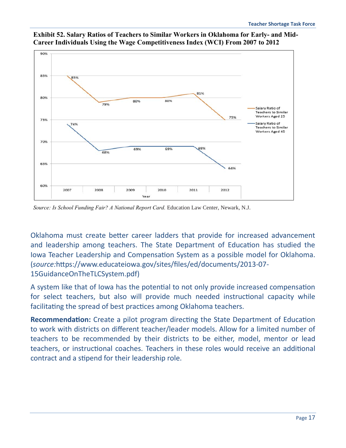

**Exhibit 52. Salary Ratios of Teachers to Similar Workers in Oklahoma for Early- and Mid-Career Individuals Using the Wage Competitiveness Index (WCI) From 2007 to 2012** 

*Source: Is School Funding Fair? A National Report Card.* Education Law Center, Newark, N.J.

Oklahoma must create better career ladders that provide for increased advancement and leadership among teachers. The State Department of Education has studied the *Research Question 15: Employment Outcomes of Education Majors One Year* Iowa Teacher Leadership and Compensation System as a possible model for Oklahoma. (source:https://www.educateiowa.gov/sites/files/ed/documents/2013-07-15GuidanceOnTheTLCSystem.pdf) employees of education majors on the year following graduation. Exhibit 53 displ with the state that deserves consideration when for the state that deserves consideration when for the state o<br>In the state of the state of the state of the state of the state of the state of the state of the state of the

A system like that of lowa has the potential to not only provide increased compensation for select teachers, but also will provide much needed instructional capacity while facilitating the spread of best practices among Oklahoma teachers.  $\alpha$  system like that or lowa has the potential to not only provide increased comper

Recommendation: Create a pilot program directing the State Department of Education to work with districts on different teacher/leader models. Allow for a limited number of teachers to be recommended by their districts to be either, model, mentor or lead teachers, or instructional coaches. Teachers in these roles would receive an additional contract and a stipend for their leadership role.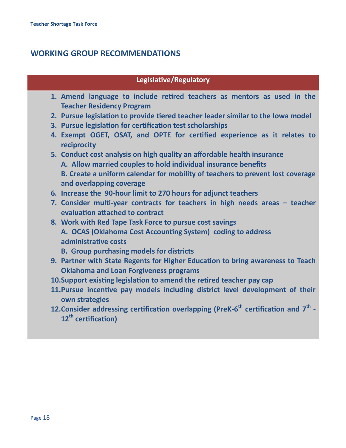# **WORKING GROUP RECOMMENDATIONS**

## **Legislative/Regulatory**

- **1. Amend language to include retired teachers as mentors as used in the Teacher Residency Program**
- **2. Pursue legislation to provide tiered teacher leader similar to the Iowa model**
- **3. Pursue legislation for certification test scholarships**
- **4. Exempt OGET, OSAT, and OPTE for certified experience as it relates to reciprocity**
- **5. Conduct cost analysis on high quality an affordable health insurance A. Allow married couples to hold individual insurance benefits B. Create a uniform calendar for mobility of teachers to prevent lost coverage and overlapping coverage**
- **6. Increase the 90-hour limit to 270 hours for adjunct teachers**
- **7. Consider multi-year contracts for teachers in high needs areas – teacher evaluation attached to contract**
- **8. Work with Red Tape Task Force to pursue cost savings A. OCAS (Oklahoma Cost Accounting System) coding to address administrative costs**
	- **B. Group purchasing models for districts**
- **9. Partner with State Regents for Higher Education to bring awareness to Teach Oklahoma and Loan Forgiveness programs**
- **10.Support existing legislation to amend the retired teacher pay cap**
- **11.Pursue incentive pay models including district level development of their own strategies**
- **12.Consider addressing certification overlapping (PreK-6 th certification and 7th - 12th certification)**